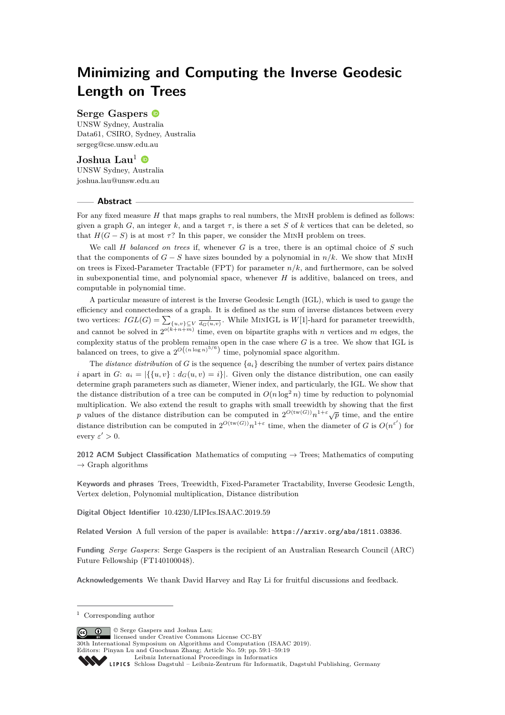# **Minimizing and Computing the Inverse Geodesic Length on Trees**

# **Serge Gaspers**

UNSW Sydney, Australia Data61, CSIRO, Sydney, Australia [sergeg@cse.unsw.edu.au](mailto:sergeg@cse.unsw.edu.au)

## **Joshua Lau<sup>1</sup>**

UNSW Sydney, Australia [joshua.lau@unsw.edu.au](mailto:joshua.lau@unsw.edu.au)

## **Abstract**

For any fixed measure *H* that maps graphs to real numbers, the MinH problem is defined as follows: given a graph *G*, an integer *k*, and a target  $\tau$ , is there a set *S* of *k* vertices that can be deleted, so that  $H(G - S)$  is at most  $\tau$ ? In this paper, we consider the MINH problem on trees.

We call *H balanced on trees* if, whenever *G* is a tree, there is an optimal choice of *S* such that the components of  $G - S$  have sizes bounded by a polynomial in  $n/k$ . We show that MINH on trees is Fixed-Parameter Tractable (FPT) for parameter *n/k*, and furthermore, can be solved in subexponential time, and polynomial space, whenever *H* is additive, balanced on trees, and computable in polynomial time.

A particular measure of interest is the Inverse Geodesic Length (IGL), which is used to gauge the efficiency and connectedness of a graph. It is defined as the sum of inverse distances between every two vertices:  $IGL(G) = \sum_{\{u,v\} \subseteq V} \frac{1}{d_G(u,v)}$ . While MINIGL is  $W[1]$ -hard for parameter treewidth, and cannot be solved in  $2^{o(k+n+m)}$  time, even on bipartite graphs with *n* vertices and *m* edges, the complexity status of the problem remains open in the case where *G* is a tree. We show that IGL is balanced on trees, to give a  $2^{O((n \log n)^{5/6})}$  time, polynomial space algorithm.

The *distance distribution* of *G* is the sequence  $\{a_i\}$  describing the number of vertex pairs distance *i* apart in *G*:  $a_i = |\{ \{u, v\} : d_G(u, v) = i \}|$ . Given only the distance distribution, one can easily determine graph parameters such as diameter, Wiener index, and particularly, the IGL. We show that the distance distribution of a tree can be computed in  $O(n \log^2 n)$  time by reduction to polynomial multiplication. We also extend the result to graphs with small treewidth by showing that the first *p* values of the distance distribution can be computed in  $2^{O(tw(G))}n^{1+\epsilon}\sqrt{p}$  time, and the entire distance distribution can be computed in  $2^{O(tw(G))}n^{1+\epsilon}$  time, when the diameter of *G* is  $O(n^{\epsilon'})$  for every  $\varepsilon' > 0$ .

**2012 ACM Subject Classification** Mathematics of computing → Trees; Mathematics of computing  $\rightarrow$  Graph algorithms

**Keywords and phrases** Trees, Treewidth, Fixed-Parameter Tractability, Inverse Geodesic Length, Vertex deletion, Polynomial multiplication, Distance distribution

**Digital Object Identifier** [10.4230/LIPIcs.ISAAC.2019.59](https://doi.org/10.4230/LIPIcs.ISAAC.2019.59)

**Related Version** A full version of the paper is available: <https://arxiv.org/abs/1811.03836>.

**Funding** *Serge Gaspers*: Serge Gaspers is the recipient of an Australian Research Council (ARC) Future Fellowship (FT140100048).

**Acknowledgements** We thank David Harvey and Ray Li for fruitful discussions and feedback.

© Serge Gaspers and Joshua Lau;  $\boxed{6}$   $\boxed{0}$ 

30th International Symposium on Algorithms and Computation (ISAAC 2019).

<sup>1</sup> Corresponding author

licensed under Creative Commons License CC-BY

Editors: Pinyan Lu and Guochuan Zhang; Article No. 59; pp. 59:1–59[:19](#page-18-0) [Leibniz International Proceedings in Informatics](https://www.dagstuhl.de/lipics/)

Leibniz international Froceedings in missimosischer Magstuhl Publishing, Germany<br>LIPICS [Schloss Dagstuhl – Leibniz-Zentrum für Informatik, Dagstuhl Publishing, Germany](https://www.dagstuhl.de)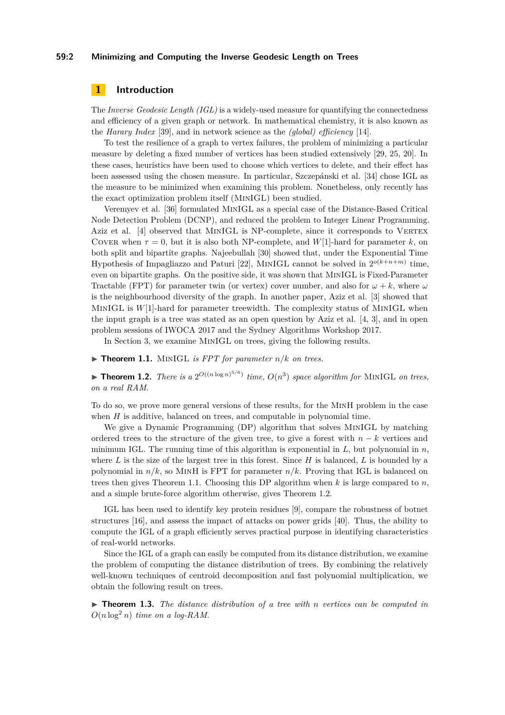#### **59:2 Minimizing and Computing the Inverse Geodesic Length on Trees**

# **1 Introduction**

The *Inverse Geodesic Length (IGL)* is a widely-used measure for quantifying the connectedness and efficiency of a given graph or network. In mathematical chemistry, it is also known as the *Harary Index* [\[39\]](#page-18-1), and in network science as the *(global) efficiency* [\[14\]](#page-16-0).

To test the resilience of a graph to vertex failures, the problem of minimizing a particular measure by deleting a fixed number of vertices has been studied extensively [\[29,](#page-17-0) [25,](#page-17-1) [20\]](#page-17-2). In these cases, heuristics have been used to choose which vertices to delete, and their effect has been assessed using the chosen measure. In particular, Szczepánski et al. [\[34\]](#page-17-3) chose IGL as the measure to be minimized when examining this problem. Nonetheless, only recently has the exact optimization problem itself (MinIGL) been studied.

Veremyev et al. [\[36\]](#page-17-4) formulated MinIGL as a special case of the Distance-Based Critical Node Detection Problem (DCNP), and reduced the problem to Integer Linear Programming. Aziz et al. [\[4\]](#page-16-1) observed that MINIGL is NP-complete, since it corresponds to VERTEX COVER when  $\tau = 0$ , but it is also both NP-complete, and *W*[1]-hard for parameter *k*, on both split and bipartite graphs. Najeebullah [\[30\]](#page-17-5) showed that, under the Exponential Time Hypothesis of Impagliazzo and Paturi [\[22\]](#page-17-6), MINIGL cannot be solved in  $2^{o(k+n+m)}$  time, even on bipartite graphs. On the positive side, it was shown that MinIGL is Fixed-Parameter Tractable (FPT) for parameter twin (or vertex) cover number, and also for  $\omega + k$ , where  $\omega$ is the neighbourhood diversity of the graph. In another paper, Aziz et al. [\[3\]](#page-16-2) showed that MinIGL is *W*[1]-hard for parameter treewidth. The complexity status of MinIGL when the input graph is a tree was stated as an open question by Aziz et al. [\[4,](#page-16-1) [3\]](#page-16-2), and in open problem sessions of IWOCA 2017 and the Sydney Algorithms Workshop 2017.

In Section [3,](#page-4-0) we examine MinIGL on trees, giving the following results.

<span id="page-1-0"></span> $\triangleright$  **Theorem 1.1.** MINIGL *is FPT for parameter*  $n/k$  *on trees.* 

<span id="page-1-1"></span>**Fheorem 1.2.** *There is a*  $2^{O((n \log n)^{5/6})}$  *time,*  $O(n^3)$  *space algorithm for* MINIGL *on trees, on a real RAM.*

To do so, we prove more general versions of these results, for the MinH problem in the case when *H* is additive, balanced on trees, and computable in polynomial time.

We give a Dynamic Programming (DP) algorithm that solves MINIGL by matching ordered trees to the structure of the given tree, to give a forest with *n* − *k* vertices and minimum IGL. The running time of this algorithm is exponential in *L*, but polynomial in *n*, where *L* is the size of the largest tree in this forest. Since *H* is balanced, *L* is bounded by a polynomial in  $n/k$ , so MINH is FPT for parameter  $n/k$ . Proving that IGL is balanced on trees then gives [Theorem 1.1.](#page-1-0) Choosing this DP algorithm when *k* is large compared to *n*, and a simple brute-force algorithm otherwise, gives [Theorem 1.2.](#page-1-1)

IGL has been used to identify key protein residues [\[9\]](#page-16-3), compare the robustness of botnet structures [\[16\]](#page-16-4), and assess the impact of attacks on power grids [\[40\]](#page-18-2). Thus, the ability to compute the IGL of a graph efficiently serves practical purpose in identifying characteristics of real-world networks.

Since the IGL of a graph can easily be computed from its distance distribution, we examine the problem of computing the distance distribution of trees. By combining the relatively well-known techniques of centroid decomposition and fast polynomial multiplication, we obtain the following result on trees.

<span id="page-1-2"></span>I **Theorem 1.3.** *The distance distribution of a tree with n vertices can be computed in*  $O(n \log^2 n)$  *time on a log-RAM.*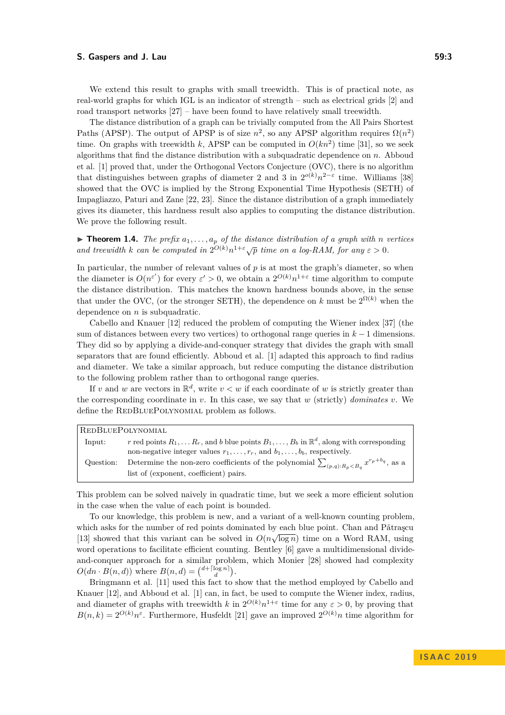We extend this result to graphs with small treewidth. This is of practical note, as real-world graphs for which IGL is an indicator of strength – such as electrical grids [\[2\]](#page-16-5) and road transport networks [\[27\]](#page-17-7) – have been found to have relatively small treewidth.

The distance distribution of a graph can be trivially computed from the All Pairs Shortest Paths (APSP). The output of APSP is of size  $n^2$ , so any APSP algorithm requires  $\Omega(n^2)$ time. On graphs with treewidth *k*, APSP can be computed in  $O(kn^2)$  time [\[31\]](#page-17-8), so we seek algorithms that find the distance distribution with a subquadratic dependence on *n*. Abboud et al. [\[1\]](#page-16-6) proved that, under the Orthogonal Vectors Conjecture (OVC), there is no algorithm that distinguishes between graphs of diameter 2 and 3 in  $2^{o(k)}n^{2-\epsilon}$  time. Williams [\[38\]](#page-18-3) showed that the OVC is implied by the Strong Exponential Time Hypothesis (SETH) of Impagliazzo, Paturi and Zane [\[22,](#page-17-6) [23\]](#page-17-9). Since the distance distribution of a graph immediately gives its diameter, this hardness result also applies to computing the distance distribution. We prove the following result.

<span id="page-2-0"></span> $\triangleright$  **Theorem 1.4.** *The prefix*  $a_1, \ldots, a_p$  *of the distance distribution of a graph with n vertices* **and treewidth k** can be computed in  $2^{O(k)}n^{1+\epsilon}\sqrt{p}$  time on a log-RAM, for any  $\varepsilon > 0$ .

In particular, the number of relevant values of  $p$  is at most the graph's diameter, so when the diameter is  $O(n^{\epsilon'})$  for every  $\epsilon' > 0$ , we obtain a  $2^{O(k)}n^{1+\epsilon}$  time algorithm to compute the distance distribution. This matches the known hardness bounds above, in the sense that under the OVC, (or the stronger SETH), the dependence on  $k$  must be  $2^{\Omega(k)}$  when the dependence on *n* is subquadratic.

Cabello and Knauer [\[12\]](#page-16-7) reduced the problem of computing the Wiener index [\[37\]](#page-17-10) (the sum of distances between every two vertices) to orthogonal range queries in *k* − 1 dimensions. They did so by applying a divide-and-conquer strategy that divides the graph with small separators that are found efficiently. Abboud et al. [\[1\]](#page-16-6) adapted this approach to find radius and diameter. We take a similar approach, but reduce computing the distance distribution to the following problem rather than to orthogonal range queries.

If *v* and *w* are vectors in  $\mathbb{R}^d$ , write  $v < w$  if each coordinate of *w* is strictly greater than the corresponding coordinate in  $v$ . In this case, we say that  $w$  (strictly) *dominates*  $v$ . We define the REDBLUEPOLYNOMIAL problem as follows.

| REDBLUEPOLYNOMIAL |                                                                                                                    |  |
|-------------------|--------------------------------------------------------------------------------------------------------------------|--|
| Input:            | r red points $R_1, \ldots R_r$ , and b blue points $B_1, \ldots, B_b$ in $\mathbb{R}^d$ , along with corresponding |  |
|                   | non-negative integer values $r_1, \ldots, r_r$ , and $b_1, \ldots, b_b$ , respectively.                            |  |
| Question:         | Determine the non-zero coefficients of the polynomial $\sum_{(p,q):R_p < B_q} x^{r_p + b_q}$ , as a                |  |
|                   | list of (exponent, coefficient) pairs.                                                                             |  |

This problem can be solved naively in quadratic time, but we seek a more efficient solution in the case when the value of each point is bounded.

To our knowledge, this problem is new, and a variant of a well-known counting problem, which asks for the number of red points dominated by each blue point. Chan and Pǎtraşcu [\[13\]](#page-16-8) showed that this variant can be solved in  $O(n\sqrt{\log n})$  time on a Word RAM, using word operations to facilitate efficient counting. Bentley [\[6\]](#page-16-9) gave a multidimensional divideand-conquer approach for a similar problem, which Monier [\[28\]](#page-17-11) showed had complexity  $O(dn \cdot B(n, d))$  where  $B(n, d) = {d + \lceil \log n \rceil \choose d}$ .

Bringmann et al. [\[11\]](#page-16-10) used this fact to show that the method employed by Cabello and Knauer [\[12\]](#page-16-7), and Abboud et al. [\[1\]](#page-16-6) can, in fact, be used to compute the Wiener index, radius, and diameter of graphs with treewidth *k* in  $2^{O(k)}n^{1+\epsilon}$  time for any  $\epsilon > 0$ , by proving that  $B(n,k) = 2^{O(k)}n^{\varepsilon}$ . Furthermore, Husfeldt [\[21\]](#page-17-12) gave an improved  $2^{O(k)}n$  time algorithm for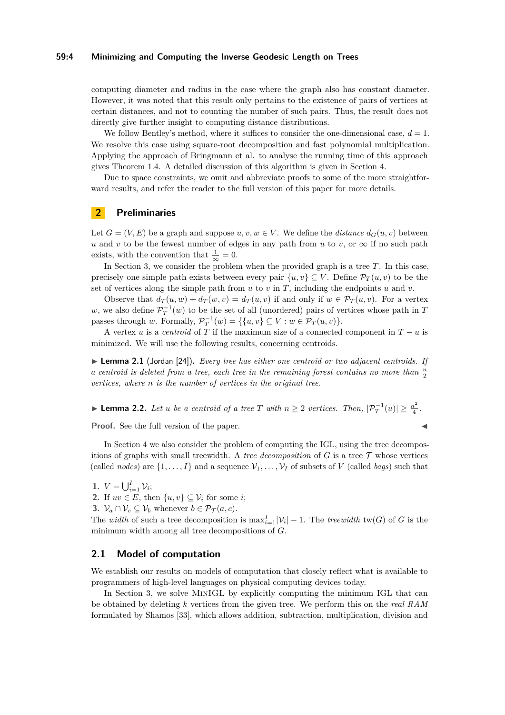#### **59:4 Minimizing and Computing the Inverse Geodesic Length on Trees**

computing diameter and radius in the case where the graph also has constant diameter. However, it was noted that this result only pertains to the existence of pairs of vertices at certain distances, and not to counting the number of such pairs. Thus, the result does not directly give further insight to computing distance distributions.

We follow Bentley's method, where it suffices to consider the one-dimensional case,  $d = 1$ . We resolve this case using square-root decomposition and fast polynomial multiplication. Applying the approach of Bringmann et al. to analyse the running time of this approach gives Theorem [1.4.](#page-2-0) A detailed discussion of this algorithm is given in Section [4.](#page-11-0)

Due to space constraints, we omit and abbreviate proofs to some of the more straightforward results, and refer the reader to the full version of this paper for more details.

# **2 Preliminaries**

Let  $G = (V, E)$  be a graph and suppose  $u, v, w \in V$ . We define the *distance*  $d_G(u, v)$  between *u* and *v* to be the fewest number of edges in any path from *u* to *v*, or  $\infty$  if no such path exists, with the convention that  $\frac{1}{\infty} = 0$ .

In Section [3,](#page-4-0) we consider the problem when the provided graph is a tree *T*. In this case, precisely one simple path exists between every pair  $\{u, v\} \subseteq V$ . Define  $\mathcal{P}_T(u, v)$  to be the set of vertices along the simple path from  $u$  to  $v$  in  $T$ , including the endpoints  $u$  and  $v$ .

Observe that  $d_T(u, w) + d_T(w, v) = d_T(u, v)$  if and only if  $w \in \mathcal{P}_T(u, v)$ . For a vertex *w*, we also define  $\mathcal{P}_T^{-1}(w)$  to be the set of all (unordered) pairs of vertices whose path in *T* passes through *w*. Formally,  $\mathcal{P}_T^{-1}(w) = \{\{u, v\} \subseteq V : w \in \mathcal{P}_T(u, v)\}.$ 

A vertex *u* is a *centroid* of  $\overline{T}$  if the maximum size of a connected component in  $T - u$  is minimized. We will use the following results, concerning centroids.

<span id="page-3-0"></span>▶ **Lemma 2.1** (Jordan [\[24\]](#page-17-13)). *Every tree has either one centroid or two adjacent centroids. If a centroid is deleted from a tree, each tree in the remaining forest contains no more than*  $\frac{n}{2}$ *vertices, where n is the number of vertices in the original tree.*

<span id="page-3-1"></span>► **Lemma 2.2.** *Let u be a centroid of a tree T with*  $n \geq 2$  *vertices. Then,*  $|\mathcal{P}_T^{-1}(u)| \geq \frac{n^2}{4}$  $\frac{i^2}{4}$ .

**Proof.** See the full version of the paper.

In Section [4](#page-11-0) we also consider the problem of computing the IGL, using the tree decompositions of graphs with small treewidth. A *tree decomposition* of  $G$  is a tree  $\mathcal T$  whose vertices (called *nodes*) are  $\{1, \ldots, I\}$  and a sequence  $\mathcal{V}_1, \ldots, \mathcal{V}_I$  of subsets of *V* (called *bags*) such that

**1.**  $V = \bigcup_{i=1}^{I} V_i;$ 

**2.** If  $uv \in E$ , then  $\{u, v\} \subseteq V_i$  for some *i*;

**3.**  $\mathcal{V}_a \cap \mathcal{V}_c \subseteq \mathcal{V}_b$  whenever  $b \in \mathcal{P}_{\mathcal{T}}(a, c)$ .

The *width* of such a tree decomposition is  $\max_{i=1}^I |\mathcal{V}_i| - 1$ . The *treewidth* tw(*G*) of *G* is the minimum width among all tree decompositions of *G*.

# **2.1 Model of computation**

We establish our results on models of computation that closely reflect what is available to programmers of high-level languages on physical computing devices today.

In Section [3,](#page-4-0) we solve MINIGL by explicitly computing the minimum IGL that can be obtained by deleting *k* vertices from the given tree. We perform this on the *real RAM* formulated by Shamos [\[33\]](#page-17-14), which allows addition, subtraction, multiplication, division and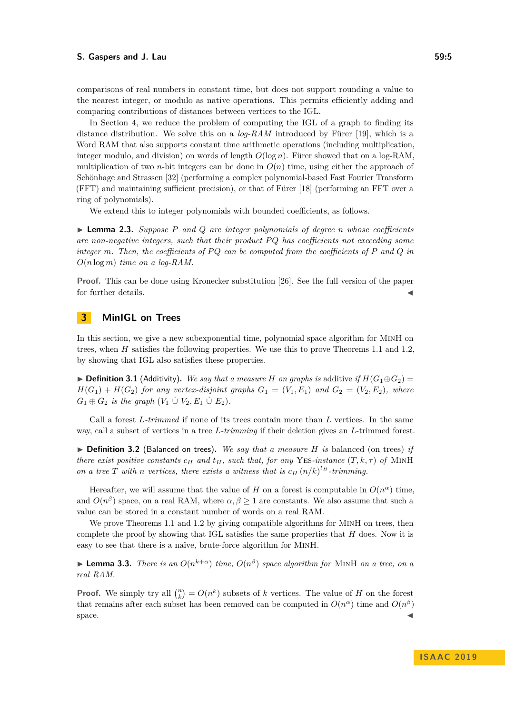comparisons of real numbers in constant time, but does not support rounding a value to the nearest integer, or modulo as native operations. This permits efficiently adding and comparing contributions of distances between vertices to the IGL.

In Section [4,](#page-11-0) we reduce the problem of computing the IGL of a graph to finding its distance distribution. We solve this on a *log-RAM* introduced by Fürer [\[19\]](#page-17-15), which is a Word RAM that also supports constant time arithmetic operations (including multiplication, integer modulo, and division) on words of length *O*(log *n*). Fürer showed that on a log-RAM, multiplication of two *n*-bit integers can be done in  $O(n)$  time, using either the approach of Schönhage and Strassen [\[32\]](#page-17-16) (performing a complex polynomial-based Fast Fourier Transform (FFT) and maintaining sufficient precision), or that of Fürer [\[18\]](#page-17-17) (performing an FFT over a ring of polynomials).

We extend this to integer polynomials with bounded coefficients, as follows.

<span id="page-4-1"></span>I **Lemma 2.3.** *Suppose P and Q are integer polynomials of degree n whose coefficients are non-negative integers, such that their product PQ has coefficients not exceeding some integer m. Then, the coefficients of P Q can be computed from the coefficients of P and Q in O*(*n* log *m*) *time on a log-RAM.*

**Proof.** This can be done using Kronecker substitution [\[26\]](#page-17-18). See the full version of the paper for further details.

# <span id="page-4-0"></span>**3 MinIGL on Trees**

In this section, we give a new subexponential time, polynomial space algorithm for MinH on trees, when *H* satisfies the following properties. We use this to prove Theorems [1.1](#page-1-0) and [1.2,](#page-1-1) by showing that IGL also satisfies these properties.

▶ **Definition 3.1** (Additivity). We say that a measure *H* on graphs is additive *if*  $H(G_1oplus G_2)$  =  $H(G_1) + H(G_2)$  *for any vertex-disjoint graphs*  $G_1 = (V_1, E_1)$  *and*  $G_2 = (V_2, E_2)$ *, where*  $G_1 \oplus G_2$  *is the graph*  $(V_1 \cup V_2, E_1 \cup E_2)$ *.* 

Call a forest *L-trimmed* if none of its trees contain more than *L* vertices. In the same way, call a subset of vertices in a tree *L-trimming* if their deletion gives an *L*-trimmed forest.

<span id="page-4-2"></span>▶ Definition 3.2 (Balanced on trees). We say that a measure *H* is balanced (on trees) if *there exist positive constants*  $c_H$  and  $t_H$ , such that, for any YES-instance  $(T, k, \tau)$  of MINH *on a tree T* with *n vertices, there exists a witness that is*  $c_H(n/k)^{t_H}$ -trimming.

Hereafter, we will assume that the value of *H* on a forest is computable in  $O(n^{\alpha})$  time, and  $O(n^{\beta})$  space, on a real RAM, where  $\alpha, \beta \ge 1$  are constants. We also assume that such a value can be stored in a constant number of words on a real RAM.

We prove Theorems [1.1](#page-1-0) and [1.2](#page-1-1) by giving compatible algorithms for MINH on trees, then complete the proof by showing that IGL satisfies the same properties that *H* does. Now it is easy to see that there is a naïve, brute-force algorithm for MinH.

**Lemma 3.3.** *There is an*  $O(n^{k+\alpha})$  *time,*  $O(n^{\beta})$  *space algorithm for* MINH *on a tree, on a real RAM.*

**Proof.** We simply try all  $\binom{n}{k} = O(n^k)$  subsets of *k* vertices. The value of *H* on the forest that remains after each subset has been removed can be computed in  $O(n^{\alpha})$  time and  $O(n^{\beta})$  $space.$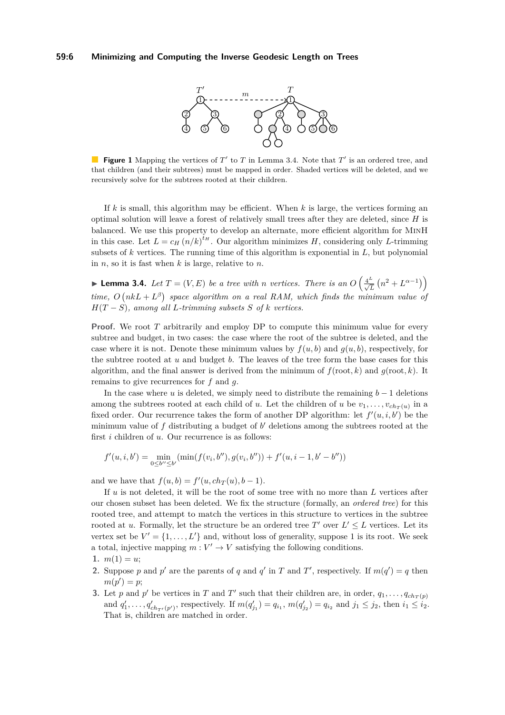

**Figure 1** Mapping the vertices of  $T'$  to  $T$  in Lemma [3.4.](#page-5-0) Note that  $T'$  is an ordered tree, and that children (and their subtrees) must be mapped in order. Shaded vertices will be deleted, and we recursively solve for the subtrees rooted at their children.

If *k* is small, this algorithm may be efficient. When *k* is large, the vertices forming an optimal solution will leave a forest of relatively small trees after they are deleted, since *H* is balanced. We use this property to develop an alternate, more efficient algorithm for MinH in this case. Let  $L = c_H (n/k)^{t_H}$ . Our algorithm minimizes *H*, considering only *L*-trimming subsets of *k* vertices. The running time of this algorithm is exponential in *L*, but polynomial in *n*, so it is fast when *k* is large, relative to *n*.

<span id="page-5-0"></span>► **Lemma 3.4.** *Let*  $T = (V, E)$  *be a tree with n vertices. There is an*  $O\left(\frac{4^L}{\sqrt{L}}\left(n^2 + L^{\alpha - 1}\right)\right)$ *time,*  $O(nkL + L^{\beta})$  space algorithm on a real RAM, which finds the minimum value of  $H(T - S)$ *, among all L*-trimming subsets *S* of *k vertices.* 

**Proof.** We root *T* arbitrarily and employ DP to compute this minimum value for every subtree and budget, in two cases: the case where the root of the subtree is deleted, and the case where it is not. Denote these minimum values by  $f(u, b)$  and  $g(u, b)$ , respectively, for the subtree rooted at *u* and budget *b*. The leaves of the tree form the base cases for this algorithm, and the final answer is derived from the minimum of  $f(root, k)$  and  $g(root, k)$ . It remains to give recurrences for *f* and *g*.

In the case where *u* is deleted, we simply need to distribute the remaining  $b - 1$  deletions among the subtrees rooted at each child of *u*. Let the children of *u* be  $v_1, \ldots, v_{ch_T(u)}$  in a fixed order. Our recurrence takes the form of another DP algorithm: let  $f'(u, i, b')$  be the minimum value of  $f$  distributing a budget of  $b'$  deletions among the subtrees rooted at the first *i* children of *u*. Our recurrence is as follows:

$$
f'(u, i, b') = \min_{0 \leq b'' \leq b'} (\min(f(v_i, b''), g(v_i, b'')) + f'(u, i - 1, b' - b''))
$$

and we have that  $f(u, b) = f'(u, ch_T(u), b - 1)$ .

If *u* is not deleted, it will be the root of some tree with no more than *L* vertices after our chosen subset has been deleted. We fix the structure (formally, an *ordered tree*) for this rooted tree, and attempt to match the vertices in this structure to vertices in the subtree rooted at *u*. Formally, let the structure be an ordered tree  $T'$  over  $L' \leq L$  vertices. Let its vertex set be  $V' = \{1, \ldots, L'\}$  and, without loss of generality, suppose 1 is its root. We seek a total, injective mapping  $m: V' \to V$  satisfying the following conditions.

- **2.** Suppose *p* and *p*<sup> $\prime$ </sup> are the parents of *q* and *q*<sup> $\prime$ </sup> in *T* and *T*<sup> $\prime$ </sup>, respectively. If  $m(q') = q$  then  $m(p') = p;$
- **3.** Let *p* and *p*<sup> $\prime$ </sup> be vertices in *T* and *T*<sup> $\prime$ </sup> such that their children are, in order,  $q_1, \ldots, q_{ch}(p)$ and  $q'_1, \ldots, q'_{ch_{T'}(p')}$ , respectively. If  $m(q'_{j_1}) = q_{i_1}, m(q'_{j_2}) = q_{i_2}$  and  $j_1 \leq j_2$ , then  $i_1 \leq i_2$ . That is, children are matched in order.

<sup>1.</sup>  $m(1) = u$ ;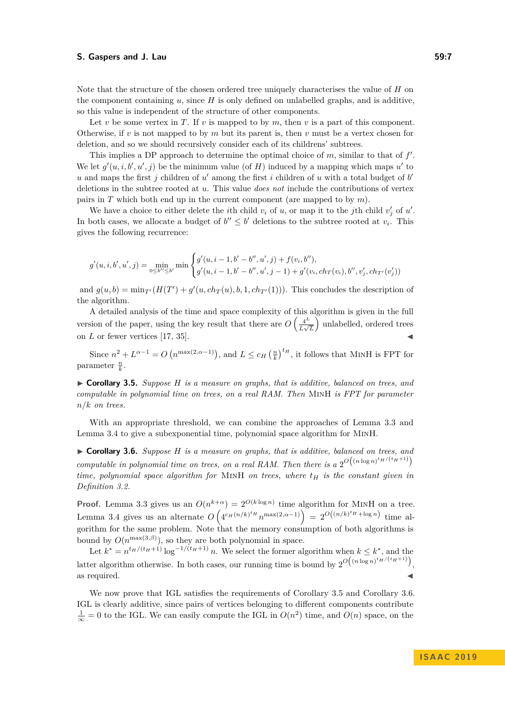Note that the structure of the chosen ordered tree uniquely characterises the value of *H* on the component containing *u*, since *H* is only defined on unlabelled graphs, and is additive, so this value is independent of the structure of other components.

Let *v* be some vertex in *T*. If *v* is mapped to by *m*, then *v* is a part of this component. Otherwise, if  $v$  is not mapped to by  $m$  but its parent is, then  $v$  must be a vertex chosen for deletion, and so we should recursively consider each of its childrens' subtrees.

This implies a DP approach to determine the optimal choice of  $m$ , similar to that of  $f'$ . We let  $g'(u, i, b', u', j)$  be the minimum value (of *H*) induced by a mapping which maps  $u'$  to  $u$  and maps the first  $j$  children of  $u'$  among the first  $i$  children of  $u$  with a total budget of  $b'$ deletions in the subtree rooted at *u*. This value *does not* include the contributions of vertex pairs in *T* which both end up in the current component (are mapped to by *m*).

We have a choice to either delete the *i*th child  $v_i$  of  $u$ , or map it to the *j*th child  $v'_j$  of  $u'$ . In both cases, we allocate a budget of  $b'' \leq b'$  deletions to the subtree rooted at  $v_i$ . This gives the following recurrence:

$$
g'(u, i, b', u', j) = \min_{0 \le b'' \le b'} \min \begin{cases} g'(u, i - 1, b' - b'', u', j) + f(v_i, b''), \\ g'(u, i - 1, b' - b'', u', j - 1) + g'(v_i, ch_T(v_i), b'', v'_j, ch_{T'}(v'_j)) \end{cases}
$$

and  $g(u, b) = \min_{T'} (H(T') + g'(u, ch_T(u), b, 1, ch_{T'}(1)))$ . This concludes the description of the algorithm.

A detailed analysis of the time and space complexity of this algorithm is given in the full version of the paper, using the key result that there are  $O\left(\frac{4^L}{L}\right)$  $\frac{4^L}{L\sqrt{L}}$  unlabelled, ordered trees on  $L$  or fewer vertices [\[17,](#page-17-19) [35\]](#page-17-20).

Since  $n^2 + L^{\alpha-1} = O(n^{\max(2,\alpha-1)})$ , and  $L \leq c_H \left(\frac{n}{k}\right)^{t_H}$ , it follows that MINH is FPT for parameter  $\frac{n}{k}$ .

<span id="page-6-0"></span>I **Corollary 3.5.** *Suppose H is a measure on graphs, that is additive, balanced on trees, and computable in polynomial time on trees, on a real RAM. Then* MinH *is FPT for parameter n/k on trees.*

With an appropriate threshold, we can combine the approaches of [Lemma 3.3](#page-4-1) and [Lemma 3.4](#page-5-0) to give a subexponential time, polynomial space algorithm for MinH.

<span id="page-6-1"></span>I **Corollary 3.6.** *Suppose H is a measure on graphs, that is additive, balanced on trees, and computable in polynomial time on trees, on a real RAM. Then there is a*  $2^{O((n \log n)^{t_H/(t_H+1)})}$ *time, polynomial space algorithm for* MinH *on trees, where t<sup>H</sup> is the constant given in [Definition 3.2.](#page-4-2)*

**Proof.** [Lemma 3.3](#page-4-1) gives us an  $O(n^{k+\alpha}) = 2^{O(k \log n)}$  time algorithm for MINH on a tree. [Lemma 3.4](#page-5-0) gives us an alternate  $O\left(4^{c_H(n/k)^{t_H}}n^{\max(2,\alpha-1)}\right) = 2^{O\left((n/k)^{t_H} + \log n\right)}$  time algorithm for the same problem. Note that the memory consumption of both algorithms is bound by  $O(n^{\max(3,\beta)})$ , so they are both polynomial in space.

Let  $k^* = n^{t_H/(t_H+1)} \log^{-1/(t_H+1)} n$ . We select the former algorithm when  $k \leq k^*$ , and the latter algorithm otherwise. In both cases, our running time is bound by  $2^{O((n \log n)^{t_H/(t_H+1)})}$ , as required.  $\blacktriangleleft$ 

We now prove that IGL satisfies the requirements of [Corollary 3.5](#page-6-0) and [Corollary 3.6.](#page-6-1) IGL is clearly additive, since pairs of vertices belonging to different components contribute  $\frac{1}{\infty} = 0$  to the IGL. We can easily compute the IGL in  $O(n^2)$  time, and  $O(n)$  space, on the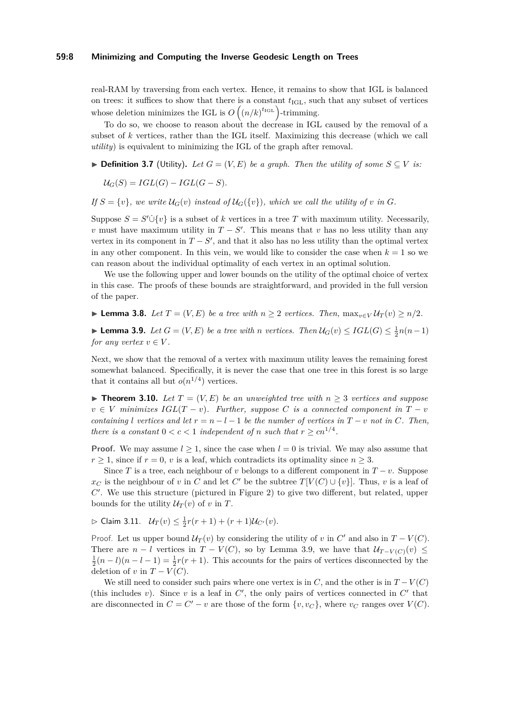#### **59:8 Minimizing and Computing the Inverse Geodesic Length on Trees**

real-RAM by traversing from each vertex. Hence, it remains to show that IGL is balanced on trees: it suffices to show that there is a constant  $t_{\text{IGL}}$ , such that any subset of vertices whose deletion minimizes the IGL is  $O(n/k)^{t_{\text{IGL}}}$  -trimming.

To do so, we choose to reason about the decrease in IGL caused by the removal of a subset of *k* vertices, rather than the IGL itself. Maximizing this decrease (which we call *utility*) is equivalent to minimizing the IGL of the graph after removal.

▶ **Definition 3.7** (Utility). Let  $G = (V, E)$  be a graph. Then the utility of some  $S ⊆ V$  is:

 $U_G(S) = IGL(G) - IGL(G - S).$ 

*If*  $S = \{v\}$ *, we write*  $U_G(v)$  *instead of*  $U_G(\{v\})$ *, which we call the utility of v in G.* 

Suppose  $S = S' \dot{\cup} \{v\}$  is a subset of *k* vertices in a tree *T* with maximum utility. Necessarily, *v* must have maximum utility in  $T - S'$ . This means that *v* has no less utility than any vertex in its component in  $T - S'$ , and that it also has no less utility than the optimal vertex in any other component. In this vein, we would like to consider the case when  $k = 1$  so we can reason about the individual optimality of each vertex in an optimal solution.

We use the following upper and lower bounds on the utility of the optimal choice of vertex in this case. The proofs of these bounds are straightforward, and provided in the full version of the paper.

<span id="page-7-3"></span>▶ **Lemma 3.8.** *Let*  $T = (V, E)$  *be a tree with*  $n ≥ 2$  *vertices. Then,*  $\max_{v \in V} U_T(v) ≥ n/2$ *.* 

<span id="page-7-0"></span>▶ **Lemma 3.9.** *Let*  $G = (V, E)$  *be a tree with n vertices. Then*  $U_G(v) \leq IGL(G) \leq \frac{1}{2}n(n-1)$ *for any vertex*  $v \in V$ .

Next, we show that the removal of a vertex with maximum utility leaves the remaining forest somewhat balanced. Specifically, it is never the case that one tree in this forest is so large that it contains all but  $o(n^{1/4})$  vertices.

<span id="page-7-1"></span>▶ **Theorem 3.10.** *Let*  $T = (V, E)$  *be an unweighted tree with*  $n > 3$  *vertices and suppose*  $v \in V$  *minimizes*  $IGL(T - v)$ *. Further, suppose C is a connected component in*  $T - v$ *containing l vertices and let*  $r = n - l - 1$  *be the number of vertices in*  $T - v$  *not in*  $C$ *. Then, there is a constant*  $0 < c < 1$  *independent of n such that*  $r \geq cn^{1/4}$ *.* 

**Proof.** We may assume  $l > 1$ , since the case when  $l = 0$  is trivial. We may also assume that  $r \geq 1$ , since if  $r = 0$ , *v* is a leaf, which contradicts its optimality since  $n \geq 3$ .

Since *T* is a tree, each neighbour of *v* belongs to a different component in  $T - v$ . Suppose *x<sub>C</sub>* is the neighbour of *v* in *C* and let *C*<sup> $\prime$ </sup> be the subtree *T*[*V*(*C*) ∪ {*v*}]. Thus, *v* is a leaf of  $C'$ . We use this structure (pictured in Figure [2\)](#page-8-0) to give two different, but related, upper bounds for the utility  $U_T(v)$  of *v* in *T*.

<span id="page-7-2"></span> $\triangleright$  Claim 3.11.  $U_T(v) \leq \frac{1}{2}r(r+1) + (r+1)U_{C'}(v)$ .

Proof. Let us upper bound  $U_T(v)$  by considering the utility of *v* in  $C'$  and also in  $T - V(C)$ . There are  $n - l$  vertices in  $T - V(C)$ , so by Lemma [3.9,](#page-7-0) we have that  $\mathcal{U}_{T-V(C)}(v) \leq$  $\frac{1}{2}(n-l)(n-l-1) = \frac{1}{2}r(r+1)$ . This accounts for the pairs of vertices disconnected by the deletion of *v* in  $T - V(C)$ .

We still need to consider such pairs where one vertex is in  $C$ , and the other is in  $T - V(C)$ (this includes  $v$ ). Since  $v$  is a leaf in  $C'$ , the only pairs of vertices connected in  $C'$  that are disconnected in  $C = C' - v$  are those of the form  $\{v, v_C\}$ , where  $v_C$  ranges over  $V(C)$ .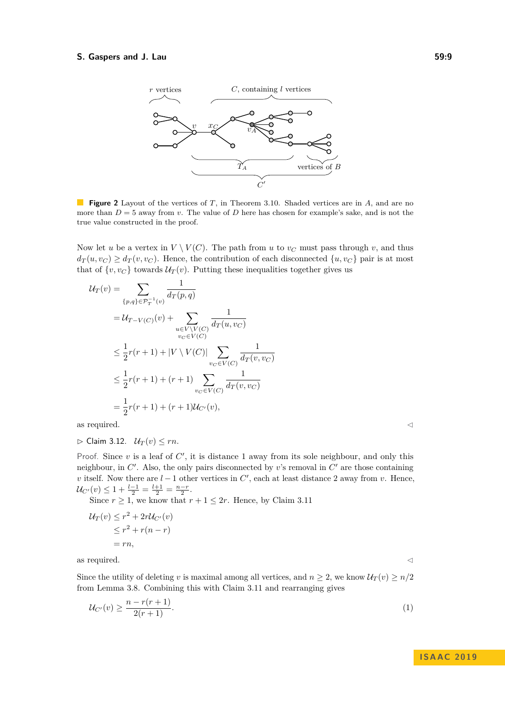<span id="page-8-0"></span>

**Figure 2** Layout of the vertices of *T*, in Theorem [3.10.](#page-7-1) Shaded vertices are in *A*, and are no more than  $D = 5$  away from *v*. The value of *D* here has chosen for example's sake, and is not the true value constructed in the proof.

Now let *u* be a vertex in  $V \setminus V(C)$ . The path from *u* to  $v_C$  must pass through *v*, and thus  $d_T(u, v_C) \ge d_T(v, v_C)$ . Hence, the contribution of each disconnected  $\{u, v_C\}$  pair is at most that of  $\{v, v_C\}$  towards  $U_T(v)$ . Putting these inequalities together gives us

$$
U_T(v) = \sum_{\{p,q\} \in \mathcal{P}_T^{-1}(v)} \frac{1}{d_T(p,q)}
$$
  
=  $U_{T-V(C)}(v) + \sum_{\substack{u \in V \backslash V(C) \\ v_C \in V(C)}} \frac{1}{d_T(u,v_C)}$   
 $\leq \frac{1}{2}r(r+1) + |V \setminus V(C)| \sum_{v_C \in V(C)} \frac{1}{d_T(v,v_C)}$   
 $\leq \frac{1}{2}r(r+1) + (r+1) \sum_{v_C \in V(C)} \frac{1}{d_T(v,v_C)}$   
=  $\frac{1}{2}r(r+1) + (r+1)U_{C'}(v)$ ,

as required.  $\hfill \triangleleft$ 

<span id="page-8-2"></span> $\triangleright$  Claim 3.12.  $U_T(v) \leq rn$ .

Proof. Since  $v$  is a leaf of  $C'$ , it is distance 1 away from its sole neighbour, and only this neighbour, in  $C'$ . Also, the only pairs disconnected by  $v$ 's removal in  $C'$  are those containing *v* itself. Now there are  $l-1$  other vertices in  $C'$ , each at least distance 2 away from *v*. Hence,  $\mathcal{U}_{C'}(v) \leq 1 + \frac{l-1}{2} = \frac{l+1}{2} = \frac{n-r}{2}.$ 

Since  $r \geq 1$ , we know that  $r + 1 \leq 2r$ . Hence, by Claim [3.11](#page-7-2)

$$
\mathcal{U}_T(v) \le r^2 + 2r\mathcal{U}_{C'}(v)
$$
  
\n
$$
\le r^2 + r(n-r)
$$
  
\n
$$
= rn,
$$

as required.  $\hfill \triangleleft$ 

Since the utility of deleting *v* is maximal among all vertices, and  $n \geq 2$ , we know  $U_T(v) \geq n/2$ from [Lemma 3.8.](#page-7-3) Combining this with Claim [3.11](#page-7-2) and rearranging gives

<span id="page-8-1"></span>
$$
\mathcal{U}_{C'}(v) \ge \frac{n - r(r + 1)}{2(r + 1)}.\tag{1}
$$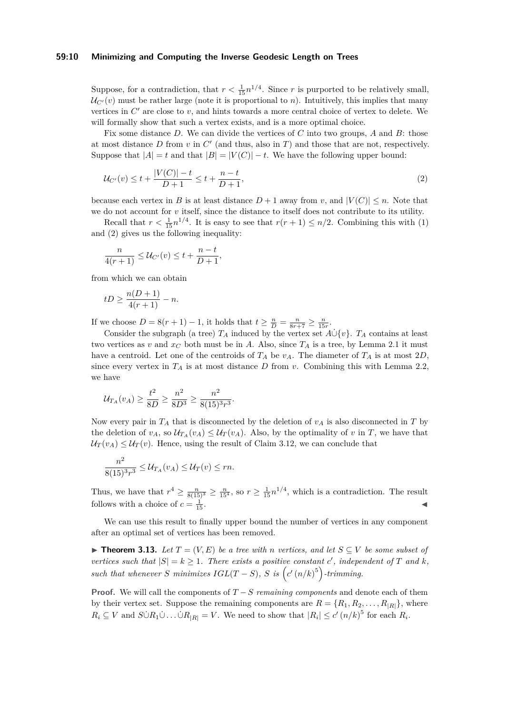#### **59:10 Minimizing and Computing the Inverse Geodesic Length on Trees**

Suppose, for a contradiction, that  $r < \frac{1}{15} n^{1/4}$ . Since *r* is purported to be relatively small,  $U_{\mathcal{C}'}(v)$  must be rather large (note it is proportional to *n*). Intuitively, this implies that many vertices in  $C'$  are close to  $v$ , and hints towards a more central choice of vertex to delete. We will formally show that such a vertex exists, and is a more optimal choice.

Fix some distance *D*. We can divide the vertices of *C* into two groups, *A* and *B*: those at most distance  $D$  from  $v$  in  $C'$  (and thus, also in  $T$ ) and those that are not, respectively. Suppose that  $|A| = t$  and that  $|B| = |V(C)| - t$ . We have the following upper bound:

<span id="page-9-0"></span>
$$
\mathcal{U}_{C'}(v) \le t + \frac{|V(C)| - t}{D + 1} \le t + \frac{n - t}{D + 1},\tag{2}
$$

because each vertex in *B* is at least distance  $D+1$  away from *v*, and  $|V(C)| \leq n$ . Note that we do not account for *v* itself, since the distance to itself does not contribute to its utility.

Recall that  $r < \frac{1}{15}n^{1/4}$ . It is easy to see that  $r(r + 1) \leq n/2$ . Combining this with [\(1\)](#page-8-1) and [\(2\)](#page-9-0) gives us the following inequality:

$$
\frac{n}{4(r+1)} \leq \mathcal{U}_{C'}(v) \leq t + \frac{n-t}{D+1},
$$

from which we can obtain

$$
tD \ge \frac{n(D+1)}{4(r+1)} - n.
$$

If we choose  $D = 8(r + 1) - 1$ , it holds that  $t \ge \frac{n}{D} = \frac{n}{8r + 7} \ge \frac{n}{15r}$ .

Consider the subgraph (a tree)  $T_A$  induced by the vertex set  $A \cup \{v\}$ .  $T_A$  contains at least two vertices as *v* and  $x_C$  both must be in *A*. Also, since  $T_A$  is a tree, by Lemma [2.1](#page-3-0) it must have a centroid. Let one of the centroids of  $T_A$  be  $v_A$ . The diameter of  $T_A$  is at most  $2D$ , since every vertex in  $T_A$  is at most distance  $D$  from  $v$ . Combining this with [Lemma 2.2,](#page-3-1) we have

$$
\mathcal{U}_{T_A}(v_A) \ge \frac{t^2}{8D} \ge \frac{n^2}{8D^3} \ge \frac{n^2}{8(15)^3 r^3}.
$$

Now every pair in  $T_A$  that is disconnected by the deletion of  $v_A$  is also disconnected in  $T$  by the deletion of  $v_A$ , so  $\mathcal{U}_{T_A}(v_A) \leq \mathcal{U}_{T}(v_A)$ . Also, by the optimality of *v* in *T*, we have that  $U_T(v_A) \leq U_T(v)$ . Hence, using the result of Claim [3.12,](#page-8-2) we can conclude that

$$
\frac{n^2}{8(15)^3r^3} \leq \mathcal{U}_{T_A}(v_A) \leq \mathcal{U}_T(v) \leq rn.
$$

Thus, we have that  $r^4 \ge \frac{n}{8(15)^3} \ge \frac{n}{15^4}$ , so  $r \ge \frac{1}{15} n^{1/4}$ , which is a contradiction. The result follows with a choice of  $c = \frac{1}{11}$  $\frac{1}{15}$ .

We can use this result to finally upper bound the number of vertices in any component after an optimal set of vertices has been removed.

<span id="page-9-1"></span>**► Theorem 3.13.** Let  $T = (V, E)$  be a tree with *n* vertices, and let  $S ⊂ V$  be some subset of *vertices such that*  $|S| = k \geq 1$ *. There exists a positive constant c', independent of T and k, such that whenever S minimizes*  $IGL(T - S)$ *, S is*  $(c'(n/k)^5)$ -trimming.

**Proof.** We will call the components of *T* − *S remaining components* and denote each of them by their vertex set. Suppose the remaining components are  $R = \{R_1, R_2, \ldots, R_{|R|}\}\$ , where  $R_i \subseteq V$  and  $S \cup R_1 \cup \ldots \cup R_{|R|} = V$ . We need to show that  $|R_i| \leq c' (n/k)^5$  for each  $R_i$ .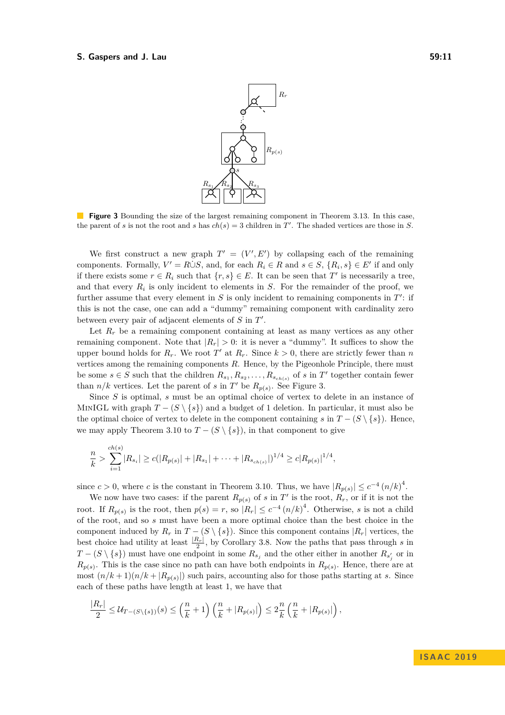<span id="page-10-0"></span>

**Figure 3** Bounding the size of the largest remaining component in Theorem [3.13.](#page-9-1) In this case, the parent of *s* is not the root and *s* has  $ch(s) = 3$  children in *T'*. The shaded vertices are those in *S*.

We first construct a new graph  $T' = (V', E')$  by collapsing each of the remaining components. Formally,  $V' = R \dot{\cup} S$ , and, for each  $R_i \in R$  and  $s \in S$ ,  $\{R_i, s\} \in E'$  if and only if there exists some  $r \in R_i$  such that  $\{r, s\} \in E$ . It can be seen that  $T'$  is necessarily a tree, and that every  $R_i$  is only incident to elements in  $S$ . For the remainder of the proof, we further assume that every element in  $S$  is only incident to remaining components in  $T'$ : if this is not the case, one can add a "dummy" remaining component with cardinality zero between every pair of adjacent elements of *S* in *T'*.

Let  $R_r$  be a remaining component containing at least as many vertices as any other remaining component. Note that  $|R_r| > 0$ : it is never a "dummy". It suffices to show the upper bound holds for  $R_r$ . We root  $T'$  at  $R_r$ . Since  $k > 0$ , there are strictly fewer than *n* vertices among the remaining components *R*. Hence, by the Pigeonhole Principle, there must be some  $s \in S$  such that the children  $R_{s_1}, R_{s_2}, \ldots, R_{s_{ch(s)}}$  of *s* in  $T'$  together contain fewer than  $n/k$  vertices. Let the parent of *s* in  $T'$  be  $R_{p(s)}$ . See Figure [3.](#page-10-0)

Since *S* is optimal, *s* must be an optimal choice of vertex to delete in an instance of MINIGL with graph  $T - (S \setminus \{s\})$  and a budget of 1 deletion. In particular, it must also be the optimal choice of vertex to delete in the component containing *s* in  $T - (S \setminus \{s\})$ . Hence, we may apply [Theorem 3.10](#page-7-1) to  $T - (S \setminus \{s\})$ , in that component to give

$$
\frac{n}{k} > \sum_{i=1}^{ch(s)} |R_{s_i}| \ge c(|R_{p(s)}| + |R_{s_1}| + \cdots + |R_{s_{ch(s)}}|)^{1/4} \ge c|R_{p(s)}|^{1/4},
$$

since  $c > 0$ , where *c* is the constant in [Theorem 3.10.](#page-7-1) Thus, we have  $|R_{p(s)}| \leq c^{-4} (n/k)^{4}$ .

We now have two cases: if the parent  $R_{p(s)}$  of *s* in  $T'$  is the root,  $R_r$ , or if it is not the root. If  $R_{p(s)}$  is the root, then  $p(s) = r$ , so  $|R_r| \leq c^{-4} (n/k)^4$ . Otherwise, *s* is not a child of the root, and so *s* must have been a more optimal choice than the best choice in the component induced by  $R_r$  in  $T - (S \setminus \{s\})$ . Since this component contains  $|R_r|$  vertices, the best choice had utility at least  $\frac{|R_r|}{2}$ , by Corollary [3.8.](#page-7-3) Now the paths that pass through *s* in  $T - (S \setminus \{s\})$  must have one endpoint in some  $R_{s_j}$  and the other either in another  $R_{s'_j}$  or in  $R_{p(s)}$ . This is the case since no path can have both endpoints in  $R_{p(s)}$ . Hence, there are at most  $(n/k+1)(n/k+|R_{p(s)}|)$  such pairs, accounting also for those paths starting at *s*. Since each of these paths have length at least 1, we have that

$$
\frac{|R_r|}{2} \leq \mathcal{U}_{T-(S\setminus\{s\})}(s) \leq \left(\frac{n}{k}+1\right)\left(\frac{n}{k}+|R_{p(s)}|\right) \leq 2\frac{n}{k}\left(\frac{n}{k}+|R_{p(s)}|\right),
$$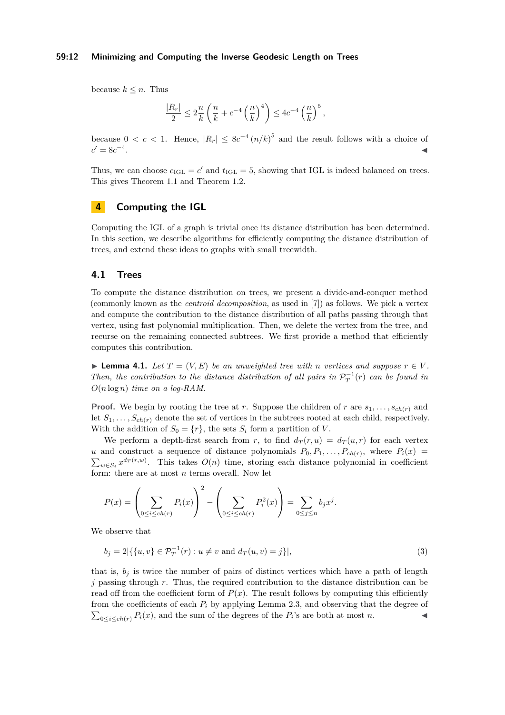#### **59:12 Minimizing and Computing the Inverse Geodesic Length on Trees**

because  $k \leq n$ . Thus

$$
\frac{|R_r|}{2} \leq 2\frac{n}{k}\left(\frac{n}{k} + c^{-4}\left(\frac{n}{k}\right)^4\right) \leq 4c^{-4}\left(\frac{n}{k}\right)^5,
$$

because  $0 < c < 1$ . Hence,  $|R_r| \leq 8c^{-4} (n/k)^5$  and the result follows with a choice of  $c' = 8c^{-4}$ . January 1980, January 2006, January 2006, January 2006, January 2006, January 2006, January 2006, January 20<br>January 2007, January 2007, January 2007, January 2007, January 2008, January 2008, January 2008, January 2008

Thus, we can choose  $c_{\text{IGL}} = c'$  and  $t_{\text{IGL}} = 5$ , showing that IGL is indeed balanced on trees. This gives [Theorem 1.1](#page-1-0) and [Theorem 1.2.](#page-1-1)

# <span id="page-11-0"></span>**4 Computing the IGL**

Computing the IGL of a graph is trivial once its distance distribution has been determined. In this section, we describe algorithms for efficiently computing the distance distribution of trees, and extend these ideas to graphs with small treewidth.

# **4.1 Trees**

To compute the distance distribution on trees, we present a divide-and-conquer method (commonly known as the *centroid decomposition*, as used in [\[7\]](#page-16-11)) as follows. We pick a vertex and compute the contribution to the distance distribution of all paths passing through that vertex, using fast polynomial multiplication. Then, we delete the vertex from the tree, and recurse on the remaining connected subtrees. We first provide a method that efficiently computes this contribution.

**Example 4.1.** *Let*  $T = (V, E)$  *be an unweighted tree with n vertices and suppose*  $r \in V$ . *Then, the contribution to the distance distribution of all pairs in*  $\mathcal{P}_T^{-1}(r)$  *can be found in O*(*n* log *n*) *time on a log-RAM.*

**Proof.** We begin by rooting the tree at *r*. Suppose the children of *r* are  $s_1, \ldots, s_{ch(r)}$  and let  $S_1, \ldots, S_{ch(r)}$  denote the set of vertices in the subtrees rooted at each child, respectively. With the addition of  $S_0 = \{r\}$ , the sets  $S_i$  form a partition of *V*.

We perform a depth-first search from *r*, to find  $d_T(r, u) = d_T(u, r)$  for each vertex *u* and construct a sequence of distance polynomials  $P_0, P_1, \ldots, P_{ch(r)}$ , where  $P_i(x)$  $\sum_{w \in S_i} x^{d_T(r,w)}$ . This takes  $O(n)$  time, storing each distance polynomial in coefficient form: there are at most *n* terms overall. Now let

$$
P(x) = \left(\sum_{0 \le i \le ch(r)} P_i(x)\right)^2 - \left(\sum_{0 \le i \le ch(r)} P_i^2(x)\right) = \sum_{0 \le j \le n} b_j x^j.
$$

We observe that

$$
b_j = 2|\{\{u, v\} \in \mathcal{P}_T^{-1}(r) : u \neq v \text{ and } d_T(u, v) = j\}|,
$$
\n(3)

that is,  $b_i$  is twice the number of pairs of distinct vertices which have a path of length *j* passing through *r*. Thus, the required contribution to the distance distribution can be read off from the coefficient form of  $P(x)$ . The result follows by computing this efficiently from the coefficients of each *P<sup>i</sup>* by applying [Lemma 2.3,](#page-4-1) and observing that the degree of  $\sum_{0 \le i \le ch(r)} P_i(x)$ , and the sum of the degrees of the  $P_i$ 's are both at most *n*.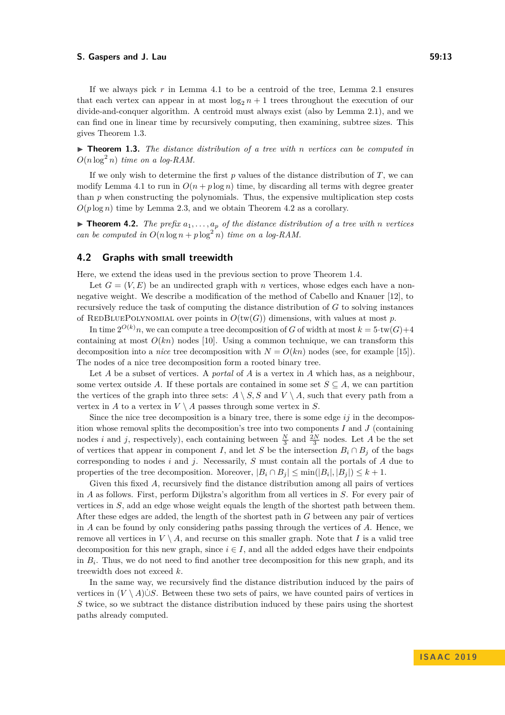If we always pick *r* in [Lemma 4.1](#page-3-0) to be a centroid of the tree, Lemma [2.1](#page-3-0) ensures that each vertex can appear in at most  $\log_2 n + 1$  trees throughout the execution of our divide-and-conquer algorithm. A centroid must always exist (also by Lemma [2.1\)](#page-3-0), and we can find one in linear time by recursively computing, then examining, subtree sizes. This gives Theorem [1.3.](#page-1-2)

▶ **Theorem 1.3.** *The distance distribution of a tree with n vertices can be computed in*  $O(n \log^2 n)$  *time on a log-RAM.* 

If we only wish to determine the first *p* values of the distance distribution of *T*, we can modify [Lemma 4.1](#page-3-0) to run in  $O(n + p \log n)$  time, by discarding all terms with degree greater than *p* when constructing the polynomials. Thus, the expensive multiplication step costs  $O(p \log n)$  time by Lemma [2.3,](#page-4-1) and we obtain [Theorem 4.2](#page-1-1) as a corollary.

 $\triangleright$  **Theorem 4.2.** *The prefix*  $a_1, \ldots, a_p$  *of the distance distribution of a tree with n vertices can be computed in*  $O(n \log n + p \log^2 n)$  *time on a log-RAM.* 

## **4.2 Graphs with small treewidth**

Here, we extend the ideas used in the previous section to prove Theorem [1.4.](#page-2-0)

Let  $G = (V, E)$  be an undirected graph with *n* vertices, whose edges each have a nonnegative weight. We describe a modification of the method of Cabello and Knauer [\[12\]](#page-16-7), to recursively reduce the task of computing the distance distribution of *G* to solving instances of REDBLUEPOLYNOMIAL over points in  $O(tw(G))$  dimensions, with values at most p.

In time  $2^{O(k)}n$ , we can compute a tree decomposition of *G* of width at most  $k = 5 \cdot tw(G) + 4$ containing at most  $O(kn)$  nodes [\[10\]](#page-16-12). Using a common technique, we can transform this decomposition into a *nice* tree decomposition with  $N = O(kn)$  nodes (see, for example [\[15\]](#page-16-13)). The nodes of a nice tree decomposition form a rooted binary tree.

Let *A* be a subset of vertices. A *portal* of *A* is a vertex in *A* which has, as a neighbour, some vertex outside *A*. If these portals are contained in some set  $S \subseteq A$ , we can partition the vertices of the graph into three sets:  $A \setminus S$ , S and  $V \setminus A$ , such that every path from a vertex in *A* to a vertex in  $V \setminus A$  passes through some vertex in *S*.

Since the nice tree decomposition is a binary tree, there is some edge *ij* in the decomposition whose removal splits the decomposition's tree into two components *I* and *J* (containing nodes *i* and *j*, respectively), each containing between  $\frac{N}{3}$  and  $\frac{2N}{3}$  nodes. Let *A* be the set of vertices that appear in component *I*, and let *S* be the intersection  $B_i \cap B_j$  of the bags corresponding to nodes *i* and *j*. Necessarily, *S* must contain all the portals of *A* due to properties of the tree decomposition. Moreover,  $|B_i \cap B_j| \le \min(|B_i|, |B_j|) \le k + 1$ .

Given this fixed *A*, recursively find the distance distribution among all pairs of vertices in *A* as follows. First, perform Dijkstra's algorithm from all vertices in *S*. For every pair of vertices in *S*, add an edge whose weight equals the length of the shortest path between them. After these edges are added, the length of the shortest path in *G* between any pair of vertices in *A* can be found by only considering paths passing through the vertices of *A*. Hence, we remove all vertices in  $V \setminus A$ , and recurse on this smaller graph. Note that *I* is a valid tree decomposition for this new graph, since  $i \in I$ , and all the added edges have their endpoints in  $B_i$ . Thus, we do not need to find another tree decomposition for this new graph, and its treewidth does not exceed *k*.

In the same way, we recursively find the distance distribution induced by the pairs of vertices in  $(V \setminus A) \cup S$ . Between these two sets of pairs, we have counted pairs of vertices in *S* twice, so we subtract the distance distribution induced by these pairs using the shortest paths already computed.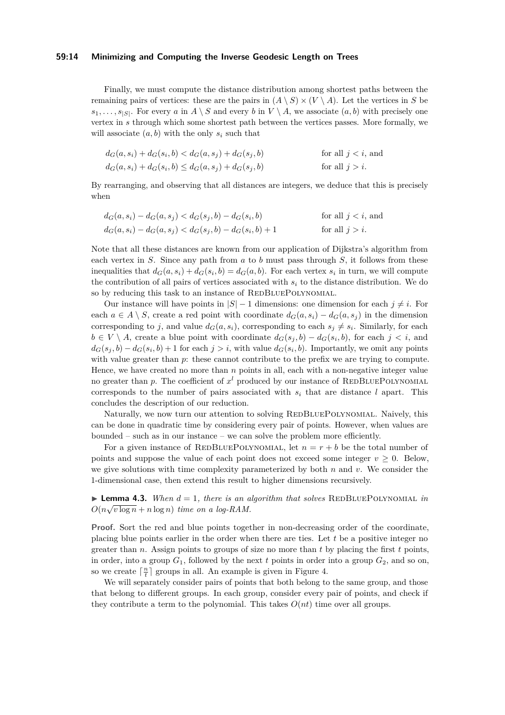#### **59:14 Minimizing and Computing the Inverse Geodesic Length on Trees**

Finally, we must compute the distance distribution among shortest paths between the remaining pairs of vertices: these are the pairs in  $(A \setminus S) \times (V \setminus A)$ . Let the vertices in *S* be  $s_1, \ldots, s_{|S|}$ . For every *a* in  $A \setminus S$  and every *b* in  $V \setminus A$ , we associate  $(a, b)$  with precisely one vertex in *s* through which some shortest path between the vertices passes. More formally, we will associate  $(a, b)$  with the only  $s_i$  such that

| $d_G(a, s_i) + d_G(s_i, b) < d_G(a, s_j) + d_G(s_j, b)$    | for all $j < i$ , and |
|------------------------------------------------------------|-----------------------|
| $d_G(a, s_i) + d_G(s_i, b) \leq d_G(a, s_j) + d_G(s_j, b)$ | for all $j > i$ .     |

By rearranging, and observing that all distances are integers, we deduce that this is precisely when

$$
d_G(a, s_i) - d_G(a, s_j) < d_G(s_j, b) - d_G(s_i, b) \quad \text{for all } j < i, \text{ and}
$$
\n
$$
d_G(a, s_i) - d_G(a, s_j) < d_G(s_j, b) - d_G(s_i, b) + 1 \quad \text{for all } j > i.
$$

Note that all these distances are known from our application of Dijkstra's algorithm from each vertex in *S*. Since any path from *a* to *b* must pass through *S*, it follows from these inequalities that  $d_G(a, s_i) + d_G(s_i, b) = d_G(a, b)$ . For each vertex  $s_i$  in turn, we will compute the contribution of all pairs of vertices associated with  $s_i$  to the distance distribution. We do so by reducing this task to an instance of REDBLUEPOLYNOMIAL.

Our instance will have points in  $|S| - 1$  dimensions: one dimension for each  $j \neq i$ . For each  $a \in A \setminus S$ , create a red point with coordinate  $d_G(a, s_i) - d_G(a, s_i)$  in the dimension corresponding to *j*, and value  $d_G(a, s_i)$ , corresponding to each  $s_j \neq s_i$ . Similarly, for each  $b \in V \setminus A$ , create a blue point with coordinate  $d_G(s_j, b) - d_G(s_i, b)$ , for each  $j < i$ , and  $d_G(s_j, b) - d_G(s_i, b) + 1$  for each  $j > i$ , with value  $d_G(s_i, b)$ . Importantly, we omit any points with value greater than  $p$ : these cannot contribute to the prefix we are trying to compute. Hence, we have created no more than *n* points in all, each with a non-negative integer value no greater than  $p$ . The coefficient of  $x^l$  produced by our instance of REDBLUEPOLYNOMIAL corresponds to the number of pairs associated with  $s_i$  that are distance *l* apart. This concludes the description of our reduction.

Naturally, we now turn our attention to solving REDBLUEPOLYNOMIAL. Naively, this can be done in quadratic time by considering every pair of points. However, when values are bounded – such as in our instance – we can solve the problem more efficiently.

For a given instance of REDBLUEPOLYNOMIAL, let  $n = r + b$  be the total number of points and suppose the value of each point does not exceed some integer  $v \geq 0$ . Below, we give solutions with time complexity parameterized by both *n* and *v*. We consider the 1-dimensional case, then extend this result to higher dimensions recursively.

**Lemma 4.3.** When  $d = 1$ , there is an algorithm that solves REDBLUEPOLYNOMIAL *in*  $O(n\sqrt{v \log n} + n \log n)$  *time on a log-RAM.* 

**Proof.** Sort the red and blue points together in non-decreasing order of the coordinate, placing blue points earlier in the order when there are ties. Let *t* be a positive integer no greater than *n*. Assign points to groups of size no more than *t* by placing the first *t* points, in order, into a group  $G_1$ , followed by the next *t* points in order into a group  $G_2$ , and so on, so we create  $\lceil \frac{n}{t} \rceil$  groups in all. An example is given in Figure [4.](#page-14-0)

We will separately consider pairs of points that both belong to the same group, and those that belong to different groups. In each group, consider every pair of points, and check if they contribute a term to the polynomial. This takes  $O(nt)$  time over all groups.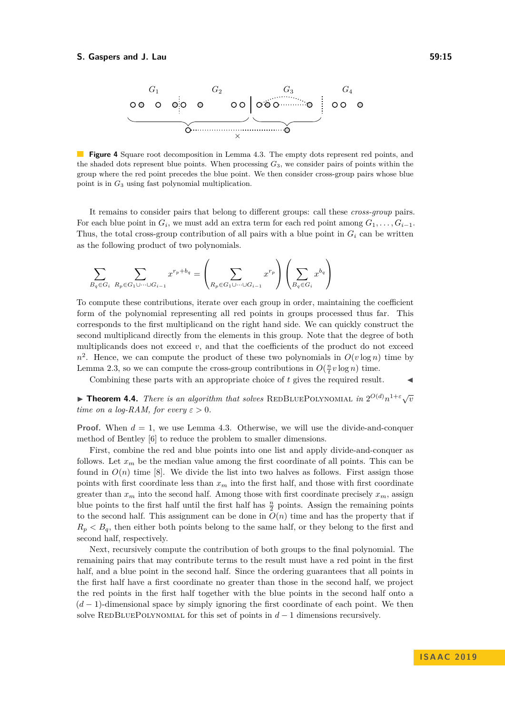<span id="page-14-0"></span>

**Figure 4** Square root decomposition in Lemma [4.3.](#page-4-1) The empty dots represent red points, and the shaded dots represent blue points. When processing  $G_3$ , we consider pairs of points within the group where the red point precedes the blue point. We then consider cross-group pairs whose blue point is in *G*<sup>3</sup> using fast polynomial multiplication.

It remains to consider pairs that belong to different groups: call these *cross-group* pairs. For each blue point in  $G_i$ , we must add an extra term for each red point among  $G_1, \ldots, G_{i-1}$ . Thus, the total cross-group contribution of all pairs with a blue point in  $G_i$  can be written as the following product of two polynomials.

$$
\sum_{B_q \in G_i} \sum_{R_p \in G_1 \cup \dots \cup G_{i-1}} x^{r_p + b_q} = \left(\sum_{R_p \in G_1 \cup \dots \cup G_{i-1}} x^{r_p}\right) \left(\sum_{B_q \in G_i} x^{b_q}\right)
$$

To compute these contributions, iterate over each group in order, maintaining the coefficient form of the polynomial representing all red points in groups processed thus far. This corresponds to the first multiplicand on the right hand side. We can quickly construct the second multiplicand directly from the elements in this group. Note that the degree of both multiplicands does not exceed  $v$ , and that the coefficients of the product do not exceed  $n^2$ . Hence, we can compute the product of these two polynomials in  $O(v \log n)$  time by Lemma [2.3,](#page-4-1) so we can compute the cross-group contributions in  $O(\frac{n}{t}v \log n)$  time.

Combining these parts with an appropriate choice of  $t$  gives the required result.  $\triangleleft$ 

**Fineorem 4.4.** *There is an algorithm that solves* REDBLUEPOLYNOMIAL *in*  $2^{O(d)}n^{1+\epsilon}\sqrt{v}$ *time on a log-RAM, for every*  $\varepsilon > 0$ .

**Proof.** When  $d = 1$ , we use Lemma [4.3.](#page-4-1) Otherwise, we will use the divide-and-conquer method of Bentley [\[6\]](#page-16-9) to reduce the problem to smaller dimensions.

First, combine the red and blue points into one list and apply divide-and-conquer as follows. Let *x<sup>m</sup>* be the median value among the first coordinate of all points. This can be found in  $O(n)$  time [\[8\]](#page-16-14). We divide the list into two halves as follows. First assign those points with first coordinate less than  $x_m$  into the first half, and those with first coordinate greater than  $x_m$  into the second half. Among those with first coordinate precisely  $x_m$ , assign blue points to the first half until the first half has  $\frac{n}{2}$  points. Assign the remaining points to the second half. This assignment can be done in  $O(n)$  time and has the property that if  $R_p < B_q$ , then either both points belong to the same half, or they belong to the first and second half, respectively.

Next, recursively compute the contribution of both groups to the final polynomial. The remaining pairs that may contribute terms to the result must have a red point in the first half, and a blue point in the second half. Since the ordering guarantees that all points in the first half have a first coordinate no greater than those in the second half, we project the red points in the first half together with the blue points in the second half onto a (*d* − 1)-dimensional space by simply ignoring the first coordinate of each point. We then solve REDBLUEPOLYNOMIAL for this set of points in  $d-1$  dimensions recursively.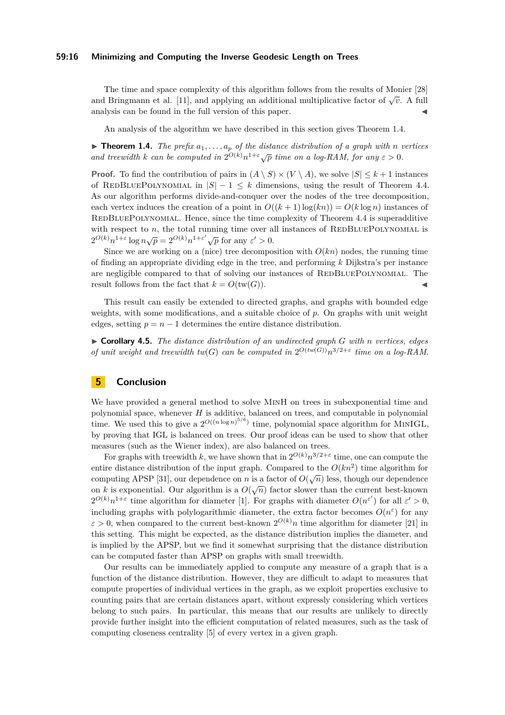#### **59:16 Minimizing and Computing the Inverse Geodesic Length on Trees**

The time and space complexity of this algorithm follows from the results of Monier [\[28\]](#page-17-11) and Bringmann et al. [\[11\]](#page-16-10), and applying an additional multiplicative factor of  $\sqrt{v}$ . A full analysis can be found in the full version of this paper.

An analysis of the algorithm we have described in this section gives [Theorem 1.4.](#page-2-0)

 $\triangleright$  **Theorem 1.4.** *The prefix*  $a_1, \ldots, a_p$  *of the distance distribution of a graph with n vertices* **and treewidth k** can be computed in  $2^{O(k)}n^{1+\epsilon}\sqrt{p}$  time on a log-RAM, for any  $\varepsilon > 0$ .

**Proof.** To find the contribution of pairs in  $(A \setminus S) \times (V \setminus A)$ , we solve  $|S| \leq k + 1$  instances of REDBLUEPOLYNOMIAL in  $|S| - 1 \leq k$  dimensions, using the result of Theorem [4.4.](#page-2-0) As our algorithm performs divide-and-conquer over the nodes of the tree decomposition, each vertex induces the creation of a point in  $O((k+1)\log(kn)) = O(k\log n)$  instances of REDBLUEPOLYNOMIAL. Hence, since the time complexity of Theorem [4.4](#page-2-0) is superadditive with respect to  $n$ , the total running time over all instances of REDBLUEPOLYNOMIAL is  $2^{O(k)}n^{1+\epsilon} \log n\sqrt{p} = 2^{O(k)}n^{1+\epsilon'}\sqrt{p}$  for any  $\varepsilon' > 0$ .

Since we are working on a (nice) tree decomposition with  $O(kn)$  nodes, the running time of finding an appropriate dividing edge in the tree, and performing *k* Dijkstra's per instance are negligible compared to that of solving our instances of REDBLUEPOLYNOMIAL. The result follows from the fact that  $k = O(tw(G))$ .

This result can easily be extended to directed graphs, and graphs with bounded edge weights, with some modifications, and a suitable choice of *p*. On graphs with unit weight edges, setting  $p = n - 1$  determines the entire distance distribution.

I **Corollary 4.5.** *The distance distribution of an undirected graph G with n vertices, edges of unit weight and treewidth*  $tw(G)$  *<i>can be computed in*  $2^{O(tw(G))}n^{3/2+\epsilon}$  *time on a log-RAM.* 

## **5 Conclusion**

We have provided a general method to solve MINH on trees in subexponential time and polynomial space, whenever *H* is additive, balanced on trees, and computable in polynomial time. We used this to give a  $2^{O((n \log n)^{5/6})}$  time, polynomial space algorithm for MINIGL, by proving that IGL is balanced on trees. Our proof ideas can be used to show that other measures (such as the Wiener index), are also balanced on trees.

For graphs with treewidth k, we have shown that in  $2^{O(k)}n^{3/2+\epsilon}$  time, one can compute the entire distance distribution of the input graph. Compared to the  $O(kn^2)$  time algorithm for computing APSP [\[31\]](#page-17-8), our dependence on *n* is a factor of  $O(\sqrt{n})$  less, though our dependence computing AI 51 [51], our dependence on *h* is a factor of  $O(\sqrt{n})$  less, though our dependence<br>on *k* is exponential. Our algorithm is a  $O(\sqrt{n})$  factor slower than the current best-known  $2^{O(k)}n^{1+\varepsilon}$  time algorithm for diameter [\[1\]](#page-16-6). For graphs with diameter  $O(n^{\varepsilon'})$  for all  $\varepsilon' > 0$ , including graphs with polylogarithmic diameter, the extra factor becomes  $O(n^{\epsilon})$  for any  $\varepsilon > 0$ , when compared to the current best-known  $2^{O(k)}n$  time algorithm for diameter [\[21\]](#page-17-12) in this setting. This might be expected, as the distance distribution implies the diameter, and is implied by the APSP, but we find it somewhat surprising that the distance distribution can be computed faster than APSP on graphs with small treewidth.

Our results can be immediately applied to compute any measure of a graph that is a function of the distance distribution. However, they are difficult to adapt to measures that compute properties of individual vertices in the graph, as we exploit properties exclusive to counting pairs that are certain distances apart, without expressly considering which vertices belong to such pairs. In particular, this means that our results are unlikely to directly provide further insight into the efficient computation of related measures, such as the task of computing closeness centrality [\[5\]](#page-16-15) of every vertex in a given graph.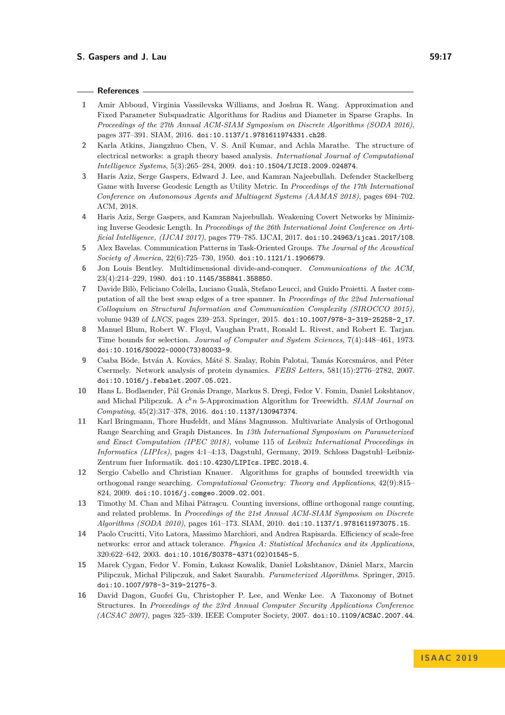## **References**

- <span id="page-16-6"></span>**1** Amir Abboud, Virginia Vassilevska Williams, and Joshua R. Wang. Approximation and Fixed Parameter Subquadratic Algorithms for Radius and Diameter in Sparse Graphs. In *Proceedings of the 27th Annual ACM-SIAM Symposium on Discrete Algorithms (SODA 2016)*, pages 377–391. SIAM, 2016. [doi:10.1137/1.9781611974331.ch28](https://doi.org/10.1137/1.9781611974331.ch28).
- <span id="page-16-5"></span>**2** Karla Atkins, Jiangzhuo Chen, V. S. Anil Kumar, and Achla Marathe. The structure of electrical networks: a graph theory based analysis. *International Journal of Computational Intelligence Systems*, 5(3):265–284, 2009. [doi:10.1504/IJCIS.2009.024874](https://doi.org/10.1504/IJCIS.2009.024874).
- <span id="page-16-2"></span>**3** Haris Aziz, Serge Gaspers, Edward J. Lee, and Kamran Najeebullah. Defender Stackelberg Game with Inverse Geodesic Length as Utility Metric. In *Proceedings of the 17th International Conference on Autonomous Agents and Multiagent Systems (AAMAS 2018)*, pages 694–702. ACM, 2018.
- <span id="page-16-1"></span>**4** Haris Aziz, Serge Gaspers, and Kamran Najeebullah. Weakening Covert Networks by Minimizing Inverse Geodesic Length. In *Proceedings of the 26th International Joint Conference on Artificial Intelligence, (IJCAI 2017)*, pages 779–785. IJCAI, 2017. [doi:10.24963/ijcai.2017/108](https://doi.org/10.24963/ijcai.2017/108).
- <span id="page-16-15"></span>**5** Alex Bavelas. Communication Patterns in Task-Oriented Groups. *The Journal of the Acoustical Society of America*, 22(6):725–730, 1950. [doi:10.1121/1.1906679](https://doi.org/10.1121/1.1906679).
- <span id="page-16-9"></span>**6** Jon Louis Bentley. Multidimensional divide-and-conquer. *Communications of the ACM*, 23(4):214–229, 1980. [doi:10.1145/358841.358850](https://doi.org/10.1145/358841.358850).
- <span id="page-16-11"></span>**7** Davide Bilò, Feliciano Colella, Luciano Gualà, Stefano Leucci, and Guido Proietti. A faster computation of all the best swap edges of a tree spanner. In *Proceedings of the 22nd International Colloquium on Structural Information and Communication Complexity (SIROCCO 2015)*, volume 9439 of *LNCS*, pages 239–253. Springer, 2015. [doi:10.1007/978-3-319-25258-2\\_17](https://doi.org/10.1007/978-3-319-25258-2_17).
- <span id="page-16-14"></span>**8** Manuel Blum, Robert W. Floyd, Vaughan Pratt, Ronald L. Rivest, and Robert E. Tarjan. Time bounds for selection. *Journal of Computer and System Sciences*, 7(4):448–461, 1973. [doi:10.1016/S0022-0000\(73\)80033-9](https://doi.org/10.1016/S0022-0000(73)80033-9).
- <span id="page-16-3"></span>**9** Csaba Böde, István A. Kovács, Máté S. Szalay, Robin Palotai, Tamás Korcsmáros, and Péter Csermely. Network analysis of protein dynamics. *FEBS Letters*, 581(15):2776–2782, 2007. [doi:10.1016/j.febslet.2007.05.021](https://doi.org/10.1016/j.febslet.2007.05.021).
- <span id="page-16-12"></span>**10** Hans L. Bodlaender, Pål Grønås Drange, Markus S. Dregi, Fedor V. Fomin, Daniel Lokshtanov, and Michal Pilipczuk. A *c <sup>k</sup>n* 5-Approximation Algorithm for Treewidth. *SIAM Journal on Computing*, 45(2):317–378, 2016. [doi:10.1137/130947374](https://doi.org/10.1137/130947374).
- <span id="page-16-10"></span>**11** Karl Bringmann, Thore Husfeldt, and Måns Magnusson. Multivariate Analysis of Orthogonal Range Searching and Graph Distances. In *13th International Symposium on Parameterized and Exact Computation (IPEC 2018)*, volume 115 of *Leibniz International Proceedings in Informatics (LIPIcs)*, pages 4:1–4:13, Dagstuhl, Germany, 2019. Schloss Dagstuhl–Leibniz-Zentrum fuer Informatik. [doi:10.4230/LIPIcs.IPEC.2018.4](https://doi.org/10.4230/LIPIcs.IPEC.2018.4).
- <span id="page-16-7"></span>**12** Sergio Cabello and Christian Knauer. Algorithms for graphs of bounded treewidth via orthogonal range searching. *Computational Geometry: Theory and Applications*, 42(9):815– 824, 2009. [doi:10.1016/j.comgeo.2009.02.001](https://doi.org/10.1016/j.comgeo.2009.02.001).
- <span id="page-16-8"></span>13 Timothy M. Chan and Mihai Pǎtraşcu. Counting inversions, offline orthogonal range counting, and related problems. In *Proceedings of the 21st Annual ACM-SIAM Symposium on Discrete Algorithms (SODA 2010)*, pages 161–173. SIAM, 2010. [doi:10.1137/1.9781611973075.15](https://doi.org/10.1137/1.9781611973075.15).
- <span id="page-16-0"></span>**14** Paolo Crucitti, Vito Latora, Massimo Marchiori, and Andrea Rapisarda. Efficiency of scale-free networks: error and attack tolerance. *Physica A: Statistical Mechanics and its Applications*, 320:622–642, 2003. [doi:10.1016/S0378-4371\(02\)01545-5](https://doi.org/10.1016/S0378-4371(02)01545-5).
- <span id="page-16-13"></span>**15** Marek Cygan, Fedor V. Fomin, Łukasz Kowalik, Daniel Lokshtanov, Dániel Marx, Marcin Pilipczuk, Michał Pilipczuk, and Saket Saurabh. *Parameterized Algorithms*. Springer, 2015. [doi:10.1007/978-3-319-21275-3](https://doi.org/10.1007/978-3-319-21275-3).
- <span id="page-16-4"></span>**16** David Dagon, Guofei Gu, Christopher P. Lee, and Wenke Lee. A Taxonomy of Botnet Structures. In *Proceedings of the 23rd Annual Computer Security Applications Conference (ACSAC 2007)*, pages 325–339. IEEE Computer Society, 2007. [doi:10.1109/ACSAC.2007.44](https://doi.org/10.1109/ACSAC.2007.44).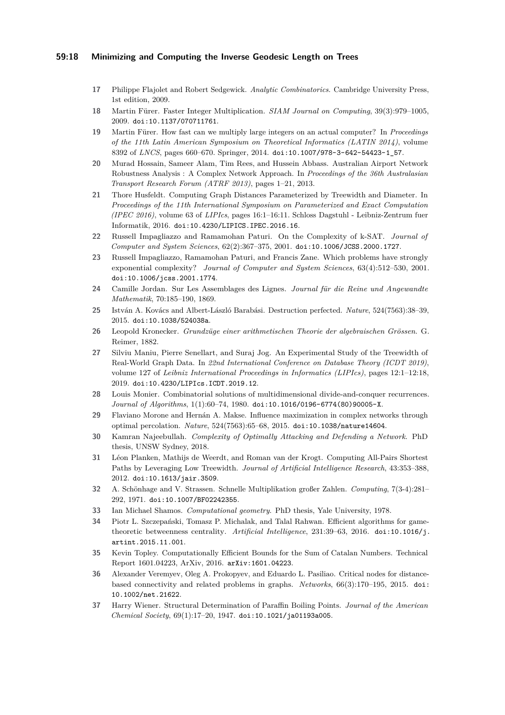#### **59:18 Minimizing and Computing the Inverse Geodesic Length on Trees**

- <span id="page-17-19"></span>**17** Philippe Flajolet and Robert Sedgewick. *Analytic Combinatorics*. Cambridge University Press, 1st edition, 2009.
- <span id="page-17-17"></span>**18** Martin Fürer. Faster Integer Multiplication. *SIAM Journal on Computing*, 39(3):979–1005, 2009. [doi:10.1137/070711761](https://doi.org/10.1137/070711761).
- <span id="page-17-15"></span>**19** Martin Fürer. How fast can we multiply large integers on an actual computer? In *Proceedings of the 11th Latin American Symposium on Theoretical Informatics (LATIN 2014)*, volume 8392 of *LNCS*, pages 660–670. Springer, 2014. [doi:10.1007/978-3-642-54423-1\\_57](https://doi.org/10.1007/978-3-642-54423-1_57).
- <span id="page-17-2"></span>**20** Murad Hossain, Sameer Alam, Tim Rees, and Hussein Abbass. Australian Airport Network Robustness Analysis : A Complex Network Approach. In *Proceedings of the 36th Australasian Transport Research Forum (ATRF 2013)*, pages 1–21, 2013.
- <span id="page-17-12"></span>**21** Thore Husfeldt. Computing Graph Distances Parameterized by Treewidth and Diameter. In *Proceedings of the 11th International Symposium on Parameterized and Exact Computation (IPEC 2016)*, volume 63 of *LIPIcs*, pages 16:1–16:11. Schloss Dagstuhl - Leibniz-Zentrum fuer Informatik, 2016. [doi:10.4230/LIPICS.IPEC.2016.16](https://doi.org/10.4230/LIPICS.IPEC.2016.16).
- <span id="page-17-6"></span>**22** Russell Impagliazzo and Ramamohan Paturi. On the Complexity of k-SAT. *Journal of Computer and System Sciences*, 62(2):367–375, 2001. [doi:10.1006/JCSS.2000.1727](https://doi.org/10.1006/JCSS.2000.1727).
- <span id="page-17-9"></span>**23** Russell Impagliazzo, Ramamohan Paturi, and Francis Zane. Which problems have strongly exponential complexity? *Journal of Computer and System Sciences*, 63(4):512–530, 2001. [doi:10.1006/jcss.2001.1774](https://doi.org/10.1006/jcss.2001.1774).
- <span id="page-17-13"></span>**24** Camille Jordan. Sur Les Assemblages des Lignes. *Journal für die Reine und Angewandte Mathematik*, 70:185–190, 1869.
- <span id="page-17-1"></span>**25** István A. Kovács and Albert-László Barabási. Destruction perfected. *Nature*, 524(7563):38–39, 2015. [doi:10.1038/524038a](https://doi.org/10.1038/524038a).
- <span id="page-17-18"></span>**26** Leopold Kronecker. *Grundzüge einer arithmetischen Theorie der algebraischen Grössen*. G. Reimer, 1882.
- <span id="page-17-7"></span>**27** Silviu Maniu, Pierre Senellart, and Suraj Jog. An Experimental Study of the Treewidth of Real-World Graph Data. In *22nd International Conference on Database Theory (ICDT 2019)*, volume 127 of *Leibniz International Proceedings in Informatics (LIPIcs)*, pages 12:1–12:18, 2019. [doi:10.4230/LIPIcs.ICDT.2019.12](https://doi.org/10.4230/LIPIcs.ICDT.2019.12).
- <span id="page-17-11"></span>**28** Louis Monier. Combinatorial solutions of multidimensional divide-and-conquer recurrences. *Journal of Algorithms*, 1(1):60–74, 1980. [doi:10.1016/0196-6774\(80\)90005-X](https://doi.org/10.1016/0196-6774(80)90005-X).
- <span id="page-17-0"></span>**29** Flaviano Morone and Hernán A. Makse. Influence maximization in complex networks through optimal percolation. *Nature*, 524(7563):65–68, 2015. [doi:10.1038/nature14604](https://doi.org/10.1038/nature14604).
- <span id="page-17-5"></span>**30** Kamran Najeebullah. *Complexity of Optimally Attacking and Defending a Network*. PhD thesis, UNSW Sydney, 2018.
- <span id="page-17-8"></span>**31** Léon Planken, Mathijs de Weerdt, and Roman van der Krogt. Computing All-Pairs Shortest Paths by Leveraging Low Treewidth. *Journal of Artificial Intelligence Research*, 43:353–388, 2012. [doi:10.1613/jair.3509](https://doi.org/10.1613/jair.3509).
- <span id="page-17-16"></span>**32** A. Schönhage and V. Strassen. Schnelle Multiplikation großer Zahlen. *Computing*, 7(3-4):281– 292, 1971. [doi:10.1007/BF02242355](https://doi.org/10.1007/BF02242355).
- <span id="page-17-14"></span>**33** Ian Michael Shamos. *Computational geometry*. PhD thesis, Yale University, 1978.
- <span id="page-17-3"></span>**34** Piotr L. Szczepański, Tomasz P. Michalak, and Talal Rahwan. Efficient algorithms for gametheoretic betweenness centrality. *Artificial Intelligence*, 231:39–63, 2016. [doi:10.1016/j.](https://doi.org/10.1016/j.artint.2015.11.001) [artint.2015.11.001](https://doi.org/10.1016/j.artint.2015.11.001).
- <span id="page-17-20"></span>**35** Kevin Topley. Computationally Efficient Bounds for the Sum of Catalan Numbers. Technical Report 1601.04223, ArXiv, 2016. [arXiv:1601.04223](http://arxiv.org/abs/1601.04223).
- <span id="page-17-4"></span>**36** Alexander Veremyev, Oleg A. Prokopyev, and Eduardo L. Pasiliao. Critical nodes for distancebased connectivity and related problems in graphs. *Networks*, 66(3):170–195, 2015. [doi:](https://doi.org/10.1002/net.21622) [10.1002/net.21622](https://doi.org/10.1002/net.21622).
- <span id="page-17-10"></span>**37** Harry Wiener. Structural Determination of Paraffin Boiling Points. *Journal of the American Chemical Society*, 69(1):17–20, 1947. [doi:10.1021/ja01193a005](https://doi.org/10.1021/ja01193a005).